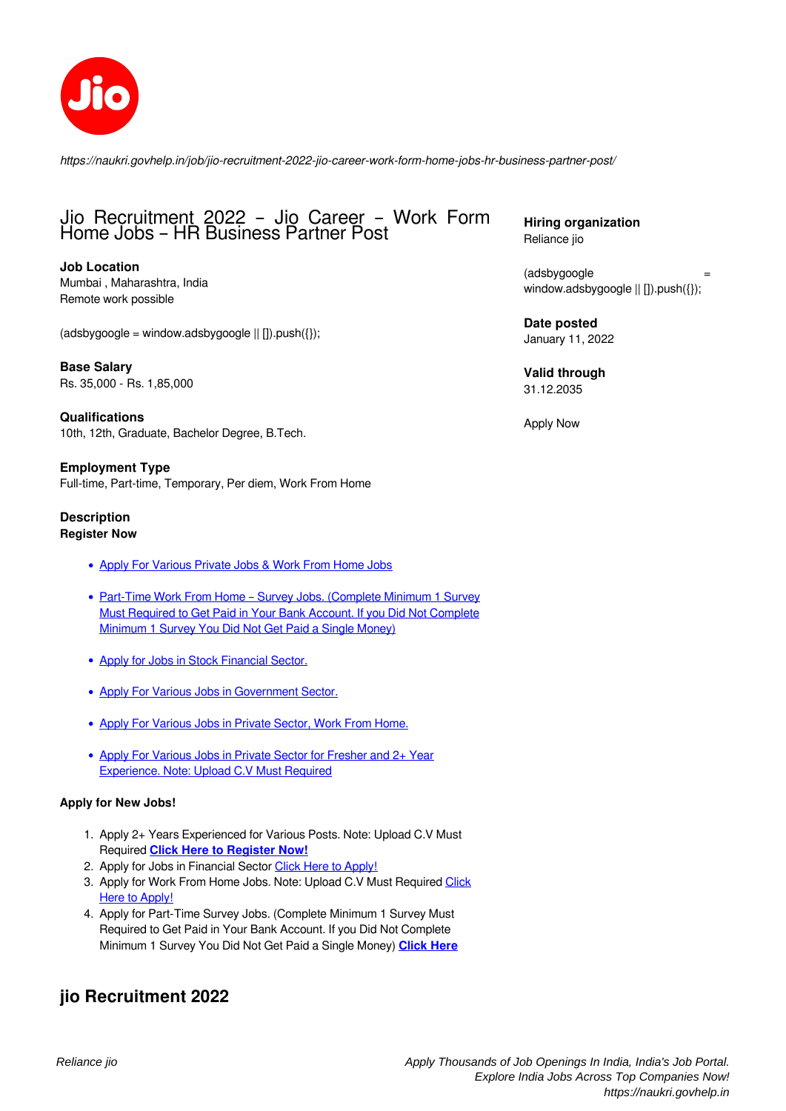

*https://naukri.govhelp.in/job/jio-recruitment-2022-jio-career-work-form-home-jobs-hr-business-partner-post/*

# Jio Recruitment 2022 – Jio Career – Work Form Home Jobs – HR Business Partner Post

**Job Location** Mumbai , Maharashtra, India Remote work possible

 $(d _{3}dyg o g) = window.addbygoog) | | | |$ ).push({});

**Base Salary** Rs. 35,000 - Rs. 1,85,000

**Qualifications** 10th, 12th, Graduate, Bachelor Degree, B.Tech.

**Employment Type** Full-time, Part-time, Temporary, Per diem, Work From Home

### **Description Register Now**

- [Apply For Various Private Jobs & Work From Home Jobs](http://bit.ly/edyoda-jobs)
- Part-Time Work From Home Survey Jobs. (Complete Minimum 1 Survey [Must Required to Get Paid in Your Bank Account. If you Did Not Complete](https://trk.thinkaction.com/?E=5SQt9CsXvAQN7td77oTfnRzyNtn4CJ8H&s1=) [Minimum 1 Survey You Did Not Get Paid a Single Money\)](https://trk.thinkaction.com/?E=5SQt9CsXvAQN7td77oTfnRzyNtn4CJ8H&s1=)
- [Apply for Jobs in Stock Financial Sector.](https://stockedge.com/Plans/stockedge-premium-monthly-mr/27?affcode=411954)
- [Apply For Various Jobs in Government Sector.](https://govhelp.in/category/indian-government-jobs/)
- [Apply For Various Jobs in Private Sector, Work From Home.](https://bit.ly/finance-jobs-career)
- [Apply For Various Jobs in Private Sector for Fresher and 2+ Year](http://bit.ly/apply-job-new) [Experience. Note: Upload C.V Must Required](http://bit.ly/apply-job-new)

## **Apply for New Jobs!**

- 1. Apply 2+ Years Experienced for Various Posts. Note: Upload C.V Must Required **[Click Here to Register Now!](https://bit.ly/2Y18tv0)**
- 2. Apply for Jobs in Financial Sector [Click Here to Apply!](https://bit.ly/finance-jobs-career)
- 3. Apply for Work From Home Jobs. Note: Upload C.V Must Required [Click](http://bit.ly/apply-job-new) [Here to Apply!](http://bit.ly/apply-job-new)
- 4. Apply for Part-Time Survey Jobs. (Complete Minimum 1 Survey Must Required to Get Paid in Your Bank Account. If you Did Not Complete Minimum 1 Survey You Did Not Get Paid a Single Money) **[Click Here]( https://trk.thinkaction.com/?E=5SQt9CsXvAQN7td77oTfnRzyNtn4CJ8H&s1=)**

# **jio Recruitment 2022**

**Hiring organization** Reliance jio

(adsbygoogle window.adsbygoogle || []).push({});

**Date posted** January 11, 2022

**Valid through** 31.12.2035

Apply Now